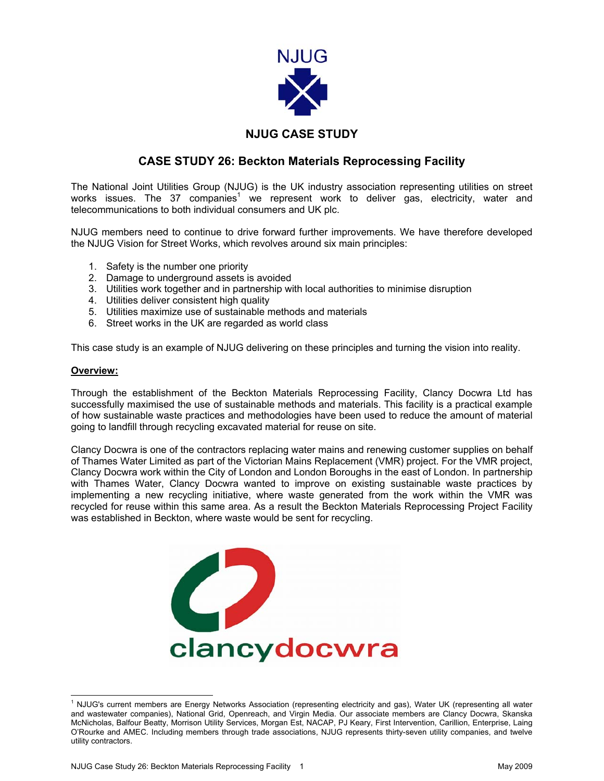

# **NJUG CASE STUDY**

## **CASE STUDY 26: Beckton Materials Reprocessing Facility**

The National Joint Utilities Group (NJUG) is the UK industry association representing utilities on street works issues. The 37 companies<sup>[1](#page-0-0)</sup> we represent work to deliver gas, electricity, water and telecommunications to both individual consumers and UK plc.

NJUG members need to continue to drive forward further improvements. We have therefore developed the NJUG Vision for Street Works, which revolves around six main principles:

- 1. Safety is the number one priority
- 2. Damage to underground assets is avoided
- 3. Utilities work together and in partnership with local authorities to minimise disruption
- 4. Utilities deliver consistent high quality
- 5. Utilities maximize use of sustainable methods and materials
- 6. Street works in the UK are regarded as world class

This case study is an example of NJUG delivering on these principles and turning the vision into reality.

### **Overview:**

Through the establishment of the Beckton Materials Reprocessing Facility, Clancy Docwra Ltd has successfully maximised the use of sustainable methods and materials. This facility is a practical example of how sustainable waste practices and methodologies have been used to reduce the amount of material going to landfill through recycling excavated material for reuse on site.

Clancy Docwra is one of the contractors replacing water mains and renewing customer supplies on behalf of Thames Water Limited as part of the Victorian Mains Replacement (VMR) project. For the VMR project, Clancy Docwra work within the City of London and London Boroughs in the east of London. In partnership with Thames Water, Clancy Docwra wanted to improve on existing sustainable waste practices by implementing a new recycling initiative, where waste generated from the work within the VMR was recycled for reuse within this same area. As a result the Beckton Materials Reprocessing Project Facility was established in Beckton, where waste would be sent for recycling.

<span id="page-0-0"></span>

 $\frac{1}{1}$  NJUG's current members are Energy Networks Association (representing electricity and gas), Water UK (representing all water and wastewater companies), National Grid, Openreach, and Virgin Media. Our associate members are Clancy Docwra, Skanska McNicholas, Balfour Beatty, Morrison Utility Services, Morgan Est, NACAP, PJ Keary, First Intervention, Carillion, Enterprise, Laing O'Rourke and AMEC. Including members through trade associations, NJUG represents thirty-seven utility companies, and twelve utility contractors.